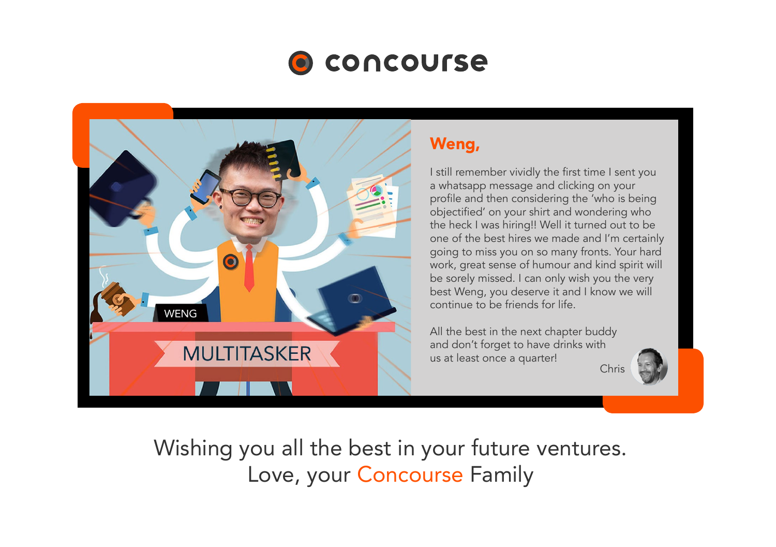



## Weng,

I still remember vividly the first time I sent you a whatsapp message and clicking on your profile and then considering the 'who is being objectified' on your shirt and wondering who the heck I was hiring!! Well it turned out to be one of the best hires we made and I'm certainly going to miss you on so many fronts. Your hard work, great sense of humour and kind spirit will be sorely missed. I can only wish you the very best Weng, you deserve it and I know we will continue to be friends for life.

All the best in the next chapter buddy and don't forget to have drinks with us at least once a quarter!

Chris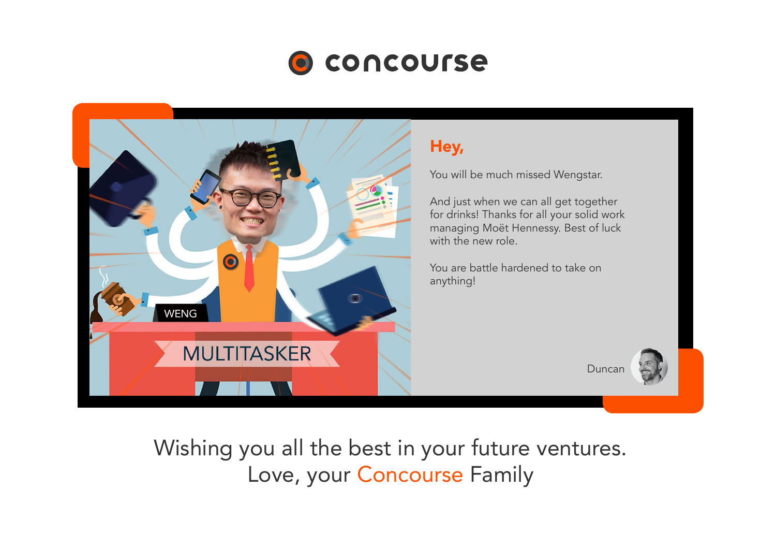

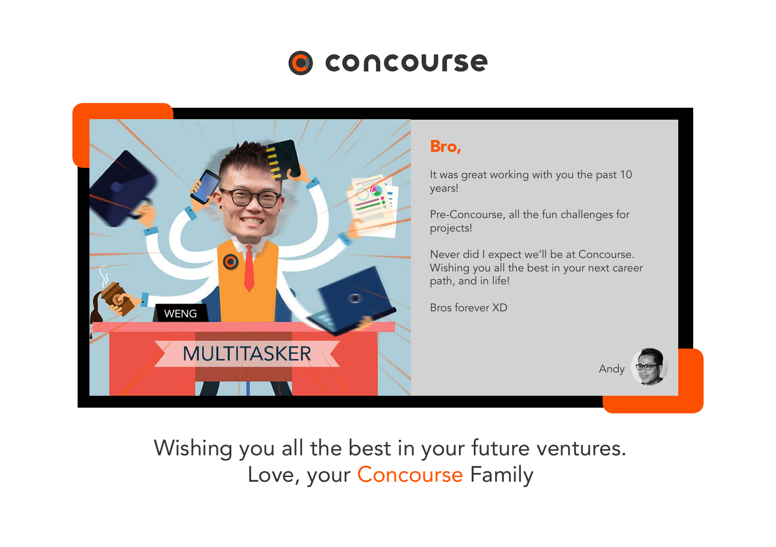

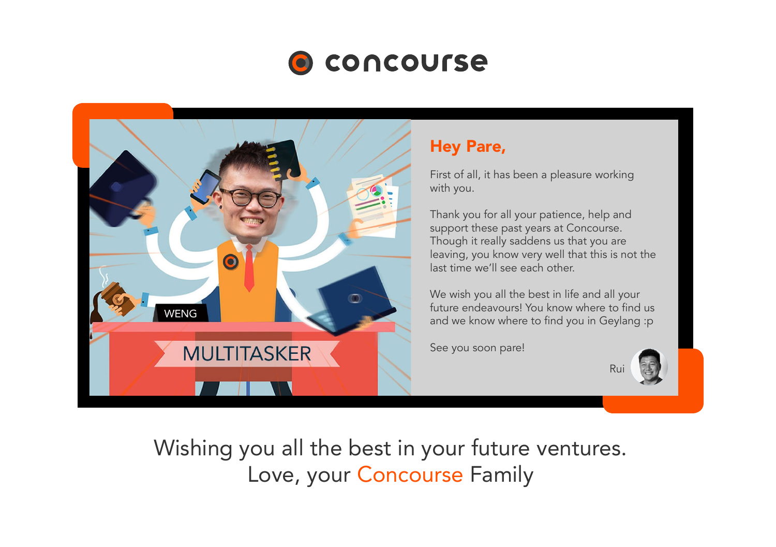



### Hey Pare,

First of all, it has been a pleasure working with you.

Thank you for all your patience, help and support these past years at Concourse. Though it really saddens us that you are leaving, you know very well that this is not the last time we'll see each other.

We wish you all the best in life and all your future endeavours! You know where to find us and we know where to find you in Geylang :p

See you soon pare!

Rui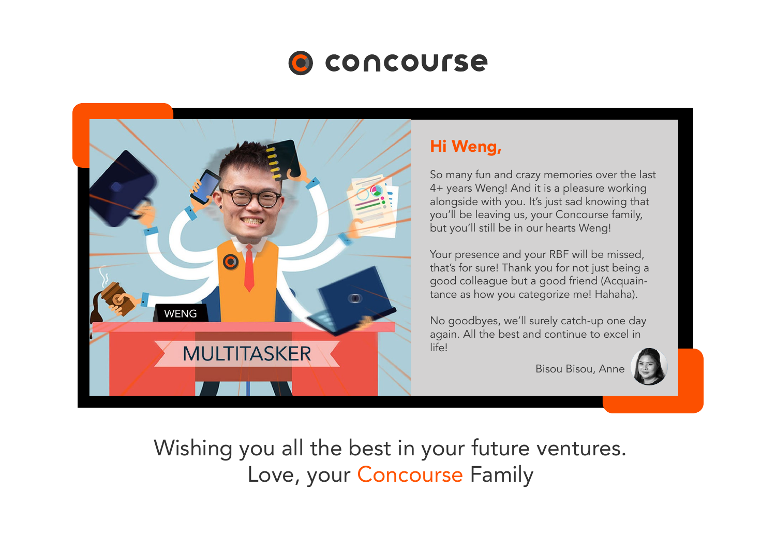



## Hi Weng,

So many fun and crazy memories over the last 4+ years Weng! And it is a pleasure working alongside with you. It's just sad knowing that you'll be leaving us, your Concourse family, but you'll still be in our hearts Weng!

Your presence and your RBF will be missed, that's for sure! Thank you for not just being a good colleague but a good friend (Acquaintance as how you categorize me! Hahaha).

No goodbyes, we'll surely catch-up one day again. All the best and continue to excel in life!

Bisou Bisou, Anne

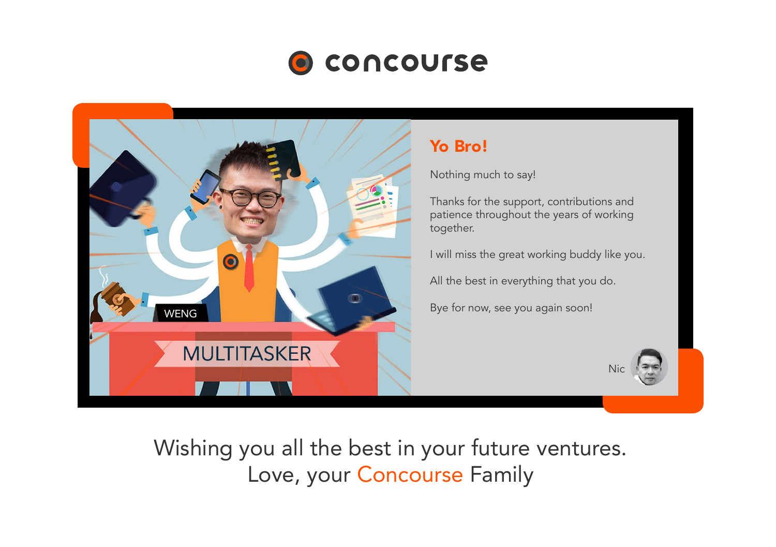



Nothing much to say!

Thanks for the support, contributions and patience throughout the years of working

I will miss the great working buddy like you.

All the best in everything that you do.

Bye for now, see you again soon!

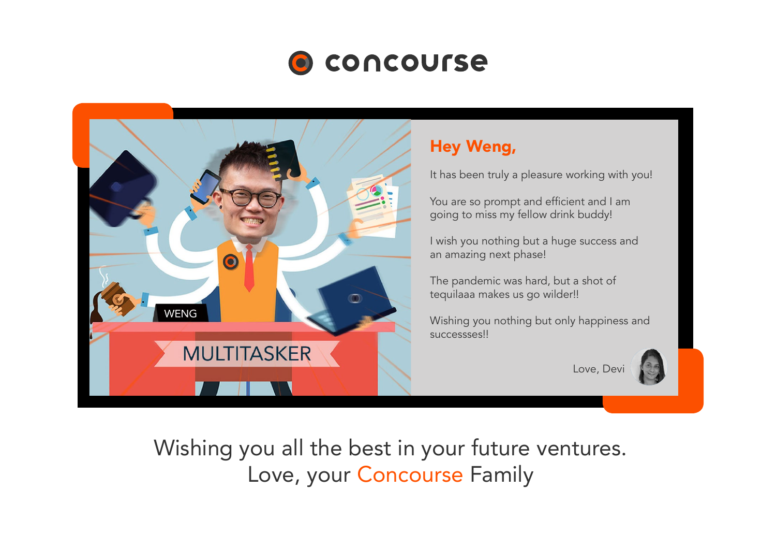



#### Hey Weng,

It has been truly a pleasure working with you!

You are so prompt and efficient and I am going to miss my fellow drink buddy!

I wish you nothing but a huge success and an amazing next phase!

The pandemic was hard, but a shot of tequilaaa makes us go wilder!!

Wishing you nothing but only happiness and successses!!

Love, Dev